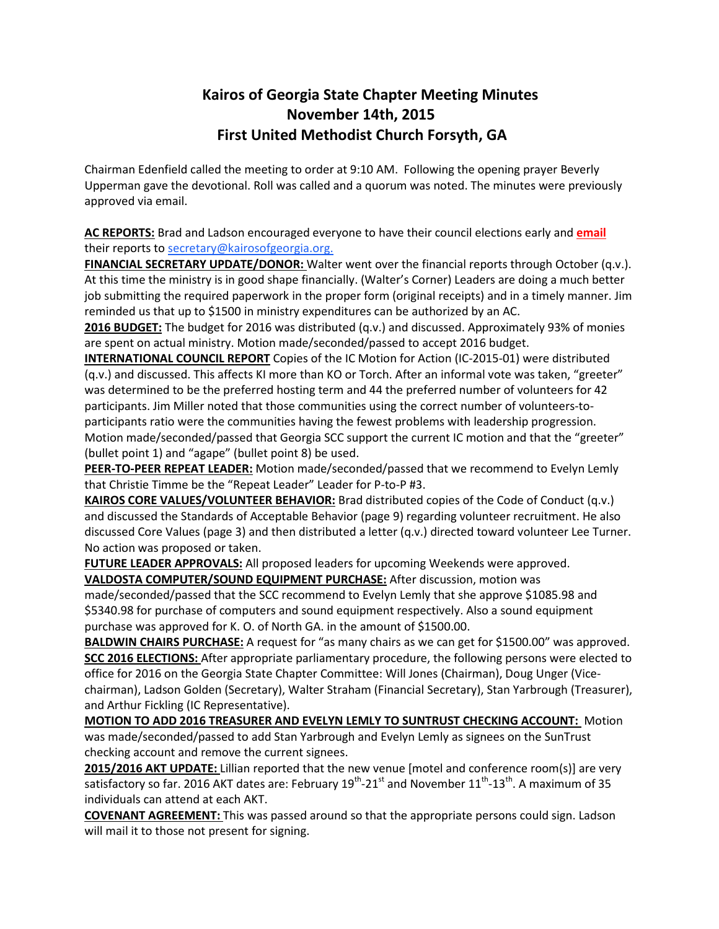## **Kairos of Georgia State Chapter Meeting Minutes November 14th, 2015 First United Methodist Church Forsyth, GA**

Chairman Edenfield called the meeting to order at 9:10 AM. Following the opening prayer Beverly Upperman gave the devotional. Roll was called and a quorum was noted. The minutes were previously approved via email.

**AC REPORTS:** Brad and Ladson encouraged everyone to have their council elections early and **email** their reports to secretary@kairosofgeorgia.org.

**FINANCIAL SECRETARY UPDATE/DONOR:** Walter went over the financial reports through October (q.v.). At this time the ministry is in good shape financially. (Walter's Corner) Leaders are doing a much better job submitting the required paperwork in the proper form (original receipts) and in a timely manner. Jim reminded us that up to \$1500 in ministry expenditures can be authorized by an AC.

**2016 BUDGET:** The budget for 2016 was distributed (q.v.) and discussed. Approximately 93% of monies are spent on actual ministry. Motion made/seconded/passed to accept 2016 budget.

**INTERNATIONAL COUNCIL REPORT** Copies of the IC Motion for Action (IC-2015-01) were distributed (q.v.) and discussed. This affects KI more than KO or Torch. After an informal vote was taken, "greeter" was determined to be the preferred hosting term and 44 the preferred number of volunteers for 42 participants. Jim Miller noted that those communities using the correct number of volunteers-toparticipants ratio were the communities having the fewest problems with leadership progression. Motion made/seconded/passed that Georgia SCC support the current IC motion and that the "greeter" (bullet point 1) and "agape" (bullet point 8) be used.

**PEER-TO-PEER REPEAT LEADER:** Motion made/seconded/passed that we recommend to Evelyn Lemly that Christie Timme be the "Repeat Leader" Leader for P-to-P #3.

**KAIROS CORE VALUES/VOLUNTEER BEHAVIOR:** Brad distributed copies of the Code of Conduct (q.v.) and discussed the Standards of Acceptable Behavior (page 9) regarding volunteer recruitment. He also discussed Core Values (page 3) and then distributed a letter (q.v.) directed toward volunteer Lee Turner. No action was proposed or taken.

**FUTURE LEADER APPROVALS:** All proposed leaders for upcoming Weekends were approved. **VALDOSTA COMPUTER/SOUND EQUIPMENT PURCHASE:** After discussion, motion was

made/seconded/passed that the SCC recommend to Evelyn Lemly that she approve \$1085.98 and \$5340.98 for purchase of computers and sound equipment respectively. Also a sound equipment purchase was approved for K. O. of North GA. in the amount of \$1500.00.

**BALDWIN CHAIRS PURCHASE:** A request for "as many chairs as we can get for \$1500.00" was approved. **SCC 2016 ELECTIONS:** After appropriate parliamentary procedure, the following persons were elected to office for 2016 on the Georgia State Chapter Committee: Will Jones (Chairman), Doug Unger (Vicechairman), Ladson Golden (Secretary), Walter Straham (Financial Secretary), Stan Yarbrough (Treasurer), and Arthur Fickling (IC Representative).

**MOTION TO ADD 2016 TREASURER AND EVELYN LEMLY TO SUNTRUST CHECKING ACCOUNT:** Motion was made/seconded/passed to add Stan Yarbrough and Evelyn Lemly as signees on the SunTrust checking account and remove the current signees.

**2015/2016 AKT UPDATE:** Lillian reported that the new venue [motel and conference room(s)] are very satisfactory so far. 2016 AKT dates are: February 19<sup>th</sup>-21<sup>st</sup> and November 11<sup>th</sup>-13<sup>th</sup>. A maximum of 35 individuals can attend at each AKT.

**COVENANT AGREEMENT:** This was passed around so that the appropriate persons could sign. Ladson will mail it to those not present for signing.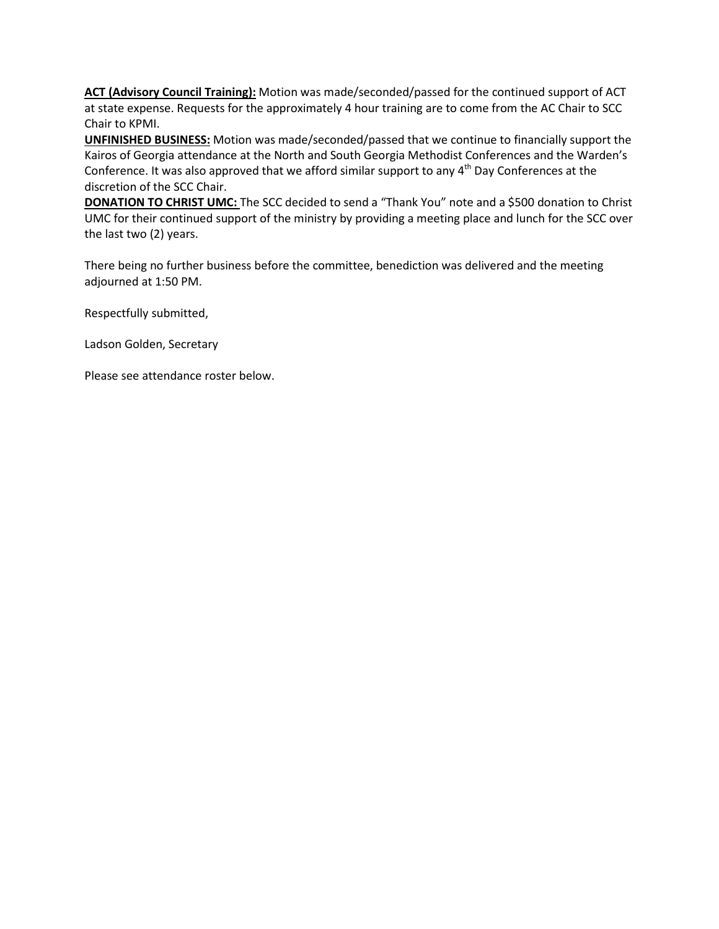**ACT (Advisory Council Training):** Motion was made/seconded/passed for the continued support of ACT at state expense. Requests for the approximately 4 hour training are to come from the AC Chair to SCC Chair to KPMI.

**UNFINISHED BUSINESS:** Motion was made/seconded/passed that we continue to financially support the Kairos of Georgia attendance at the North and South Georgia Methodist Conferences and the Warden's Conference. It was also approved that we afford similar support to any 4<sup>th</sup> Day Conferences at the discretion of the SCC Chair.

**DONATION TO CHRIST UMC:** The SCC decided to send a "Thank You" note and a \$500 donation to Christ UMC for their continued support of the ministry by providing a meeting place and lunch for the SCC over the last two (2) years.

There being no further business before the committee, benediction was delivered and the meeting adjourned at 1:50 PM.

Respectfully submitted,

Ladson Golden, Secretary

Please see attendance roster below.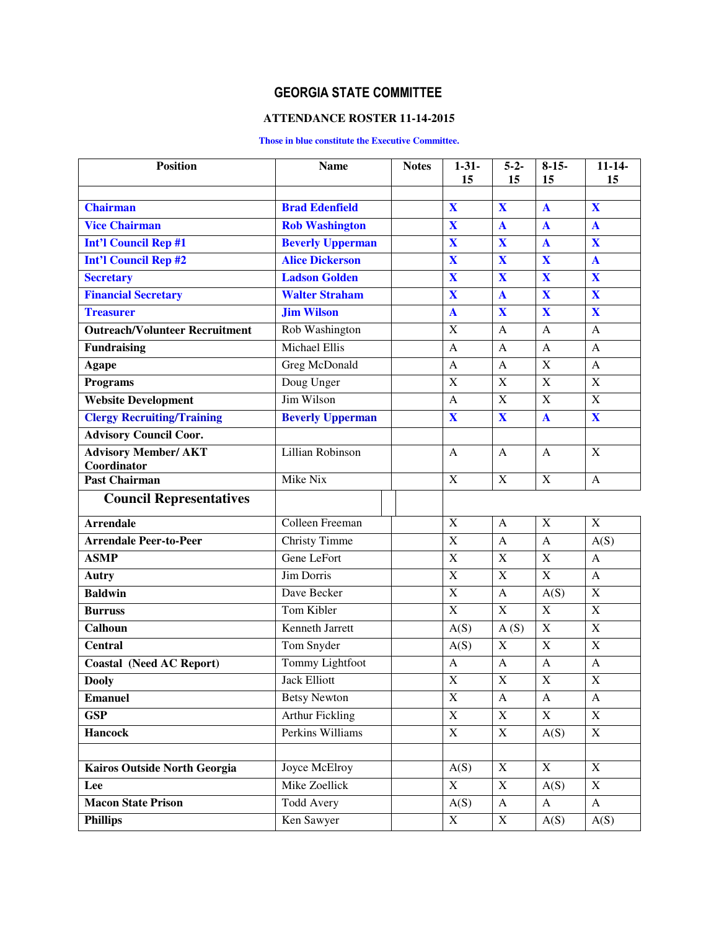## **GEORGIA STATE COMMITTEE**

## **ATTENDANCE ROSTER 11-14-2015**

## **Those in blue constitute the Executive Committee.**

| <b>Position</b>                            | <b>Name</b>             | <b>Notes</b> | $1 - 31 -$<br>15          | $5 - 2 -$<br>15         | $8-15-$<br>15             | $11 - 14$<br>15           |
|--------------------------------------------|-------------------------|--------------|---------------------------|-------------------------|---------------------------|---------------------------|
|                                            |                         |              |                           |                         |                           |                           |
| <b>Chairman</b>                            | <b>Brad Edenfield</b>   |              | X                         | $\mathbf{X}$            | $\mathbf{A}$              | X                         |
| <b>Vice Chairman</b>                       | <b>Rob Washington</b>   |              | $\overline{\mathbf{X}}$   | $\mathbf{A}$            | $\mathbf{A}$              | $\mathbf{A}$              |
| <b>Int'l Council Rep #1</b>                | <b>Beverly Upperman</b> |              | $\mathbf X$               | $\mathbf X$             | $\mathbf{A}$              | X                         |
| <b>Int'l Council Rep #2</b>                | <b>Alice Dickerson</b>  |              | $\overline{\mathbf{X}}$   | $\mathbf X$             | $\overline{\mathbf{X}}$   | $\mathbf{A}$              |
| <b>Secretary</b>                           | <b>Ladson Golden</b>    |              | $\mathbf X$               | X                       | X                         | X                         |
| <b>Financial Secretary</b>                 | <b>Walter Straham</b>   |              | $\mathbf X$               | $\mathbf{A}$            | $\mathbf X$               | X                         |
| <b>Treasurer</b>                           | <b>Jim Wilson</b>       |              | $\mathbf{A}$              | $\mathbf X$             | X                         | X                         |
| <b>Outreach/Volunteer Recruitment</b>      | Rob Washington          |              | X                         | A                       | $\mathbf{A}$              | $\mathbf{A}$              |
| <b>Fundraising</b>                         | <b>Michael Ellis</b>    |              | A                         | A                       | $\mathbf{A}$              | $\mathbf{A}$              |
| <b>Agape</b>                               | Greg McDonald           |              | $\mathbf{A}$              | $\mathbf{A}$            | $\mathbf X$               | $\mathbf{A}$              |
| <b>Programs</b>                            | Doug Unger              |              | $\mathbf X$               | $\mathbf X$             | $\boldsymbol{\mathrm{X}}$ | $\boldsymbol{X}$          |
| <b>Website Development</b>                 | Jim Wilson              |              | $\mathbf{A}$              | X                       | X                         | $\overline{X}$            |
| <b>Clergy Recruiting/Training</b>          | <b>Beverly Upperman</b> |              | $\overline{\mathbf{X}}$   | $\overline{\mathbf{X}}$ | $\mathbf{A}$              | X                         |
| <b>Advisory Council Coor.</b>              |                         |              |                           |                         |                           |                           |
| <b>Advisory Member/ AKT</b><br>Coordinator | Lillian Robinson        |              | $\mathbf{A}$              | A                       | $\mathbf{A}$              | X                         |
| <b>Past Chairman</b>                       | Mike Nix                |              | $\overline{X}$            | $\mathbf X$             | $\mathbf X$               | $\mathbf{A}$              |
| <b>Council Representatives</b>             |                         |              |                           |                         |                           |                           |
| <b>Arrendale</b>                           | Colleen Freeman         |              | $\mathbf X$               | A                       | $\mathbf X$               | $\mathbf X$               |
| <b>Arrendale Peer-to-Peer</b>              | <b>Christy Timme</b>    |              | $\mathbf X$               | $\mathbf{A}$            | $\mathbf{A}$              | A(S)                      |
| <b>ASMP</b>                                | Gene LeFort             |              | $\overline{X}$            | $\mathbf X$             | $\mathbf X$               | $\mathsf{A}$              |
| Autry                                      | <b>Jim Dorris</b>       |              | $\mathbf X$               | $\mathbf X$             | $\mathbf X$               | $\mathbf{A}$              |
| <b>Baldwin</b>                             | Dave Becker             |              | $\boldsymbol{\mathrm{X}}$ | $\mathbf{A}$            | A(S)                      | $\mathbf X$               |
| <b>Burruss</b>                             | <b>Tom Kibler</b>       |              | $\overline{X}$            | $\mathbf X$             | $\mathbf X$               | $\overline{X}$            |
| Calhoun                                    | <b>Kenneth Jarrett</b>  |              | $\overline{A}(S)$         | A(S)                    | $\overline{X}$            | $\overline{X}$            |
| <b>Central</b>                             | Tom Snyder              |              | A(S)                      | $\mathbf X$             | $\mathbf X$               | $\mathbf X$               |
| <b>Coastal (Need AC Report)</b>            | Tommy Lightfoot         |              | $\mathbf{A}$              | A                       | A                         | $\mathbf{A}$              |
| <b>Dooly</b>                               | <b>Jack Elliott</b>     |              | X                         | $\mathbf X$             | $\mathbf X$               | $\mathbf X$               |
| <b>Emanuel</b>                             | <b>Betsy Newton</b>     |              | $\overline{X}$            | A                       | A                         | A                         |
| <b>GSP</b>                                 | <b>Arthur Fickling</b>  |              | $\mathbf X$               | X                       | X                         | X                         |
| <b>Hancock</b>                             | Perkins Williams        |              | $\overline{X}$            | $\mathbf X$             | A(S)                      | $\mathbf X$               |
|                                            |                         |              |                           |                         |                           |                           |
| Kairos Outside North Georgia               | Joyce McElroy           |              | A(S)                      | $\overline{X}$          | X                         | $\overline{X}$            |
| Lee                                        | Mike Zoellick           |              | X                         | $\mathbf X$             | A(S)                      | $\boldsymbol{\mathrm{X}}$ |
| <b>Macon State Prison</b>                  | Todd Avery              |              | A(S)                      | $\mathbf{A}$            | $\mathbf{A}$              | $\mathbf{A}$              |
| <b>Phillips</b>                            | Ken Sawyer              |              | X                         | $\mathbf X$             | A(S)                      | A(S)                      |